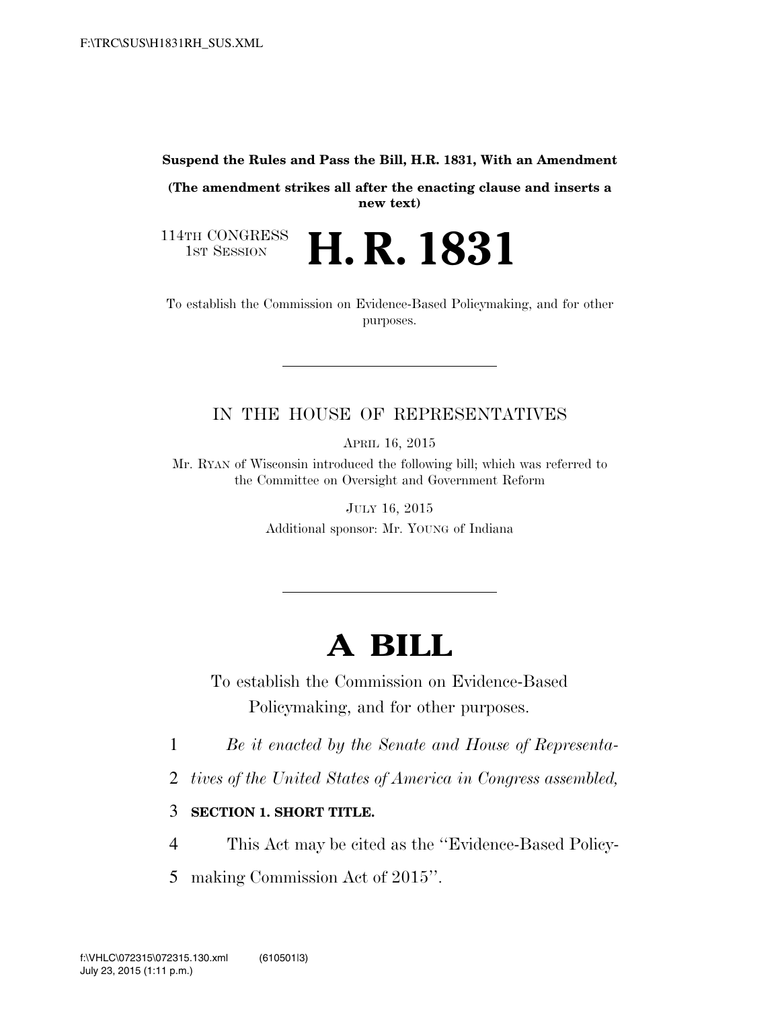#### **Suspend the Rules and Pass the Bill, H.R. 1831, With an Amendment**

**(The amendment strikes all after the enacting clause and inserts a new text)** 

**H. R. 1831** 

114TH CONGRESS<br>1st Session

To establish the Commission on Evidence-Based Policymaking, and for other purposes.

## IN THE HOUSE OF REPRESENTATIVES

APRIL 16, 2015

Mr. RYAN of Wisconsin introduced the following bill; which was referred to the Committee on Oversight and Government Reform

> JULY 16, 2015 Additional sponsor: Mr. YOUNG of Indiana

# **A BILL**

To establish the Commission on Evidence-Based Policymaking, and for other purposes.

1 *Be it enacted by the Senate and House of Representa-*

- 2 *tives of the United States of America in Congress assembled,*
- 3 **SECTION 1. SHORT TITLE.**
- 4 This Act may be cited as the ''Evidence-Based Policy-
- 5 making Commission Act of 2015''.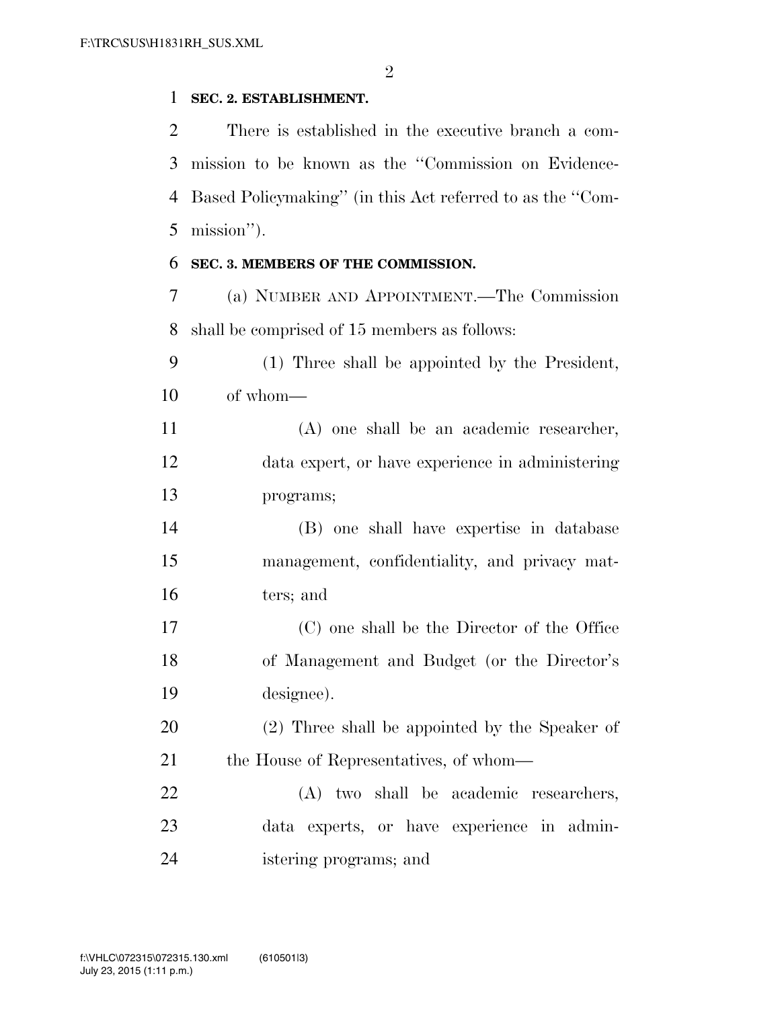#### **SEC. 2. ESTABLISHMENT.**

 There is established in the executive branch a com- mission to be known as the ''Commission on Evidence- Based Policymaking'' (in this Act referred to as the ''Com-mission'').

#### **SEC. 3. MEMBERS OF THE COMMISSION.**

 (a) NUMBER AND APPOINTMENT.—The Commission shall be comprised of 15 members as follows:

 (1) Three shall be appointed by the President, of whom—

 (A) one shall be an academic researcher, data expert, or have experience in administering programs;

 (B) one shall have expertise in database management, confidentiality, and privacy mat-ters; and

 (C) one shall be the Director of the Office of Management and Budget (or the Director's designee).

 (2) Three shall be appointed by the Speaker of 21 the House of Representatives, of whom—

 (A) two shall be academic researchers, data experts, or have experience in admin-istering programs; and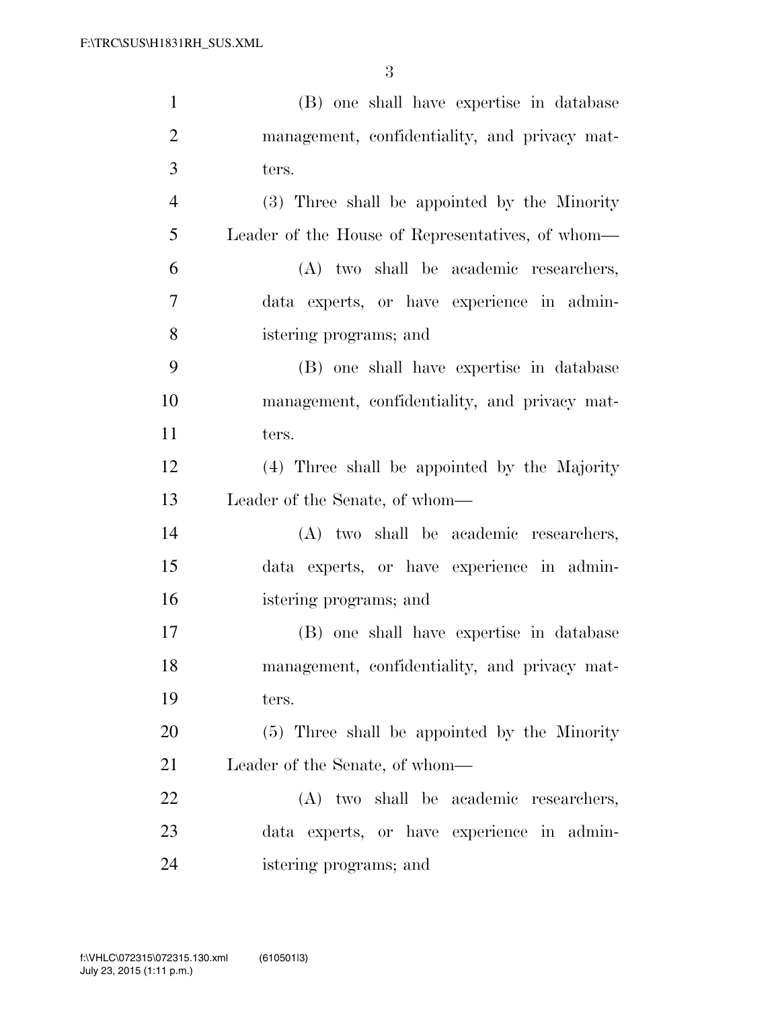| $\mathbf{1}$   | (B) one shall have expertise in database         |
|----------------|--------------------------------------------------|
| $\overline{2}$ | management, confidentiality, and privacy mat-    |
| 3              | ters.                                            |
| $\overline{4}$ | (3) Three shall be appointed by the Minority     |
| 5              | Leader of the House of Representatives, of whom— |
| 6              | (A) two shall be academic researchers,           |
| 7              | data experts, or have experience in admin-       |
| 8              | istering programs; and                           |
| 9              | (B) one shall have expertise in database         |
| 10             | management, confidentiality, and privacy mat-    |
| 11             | ters.                                            |
| 12             | (4) Three shall be appointed by the Majority     |
| 13             | Leader of the Senate, of whom—                   |
| 14             | (A) two shall be academic researchers,           |
| 15             | data experts, or have experience in admin-       |
| 16             | istering programs; and                           |
| 17             | (B) one shall have expertise in database         |
| 18             | management, confidentiality, and privacy mat-    |
| 19             | ters.                                            |
| 20             | (5) Three shall be appointed by the Minority     |
| 21             | Leader of the Senate, of whom—                   |
| 22             | (A) two shall be academic researchers,           |
| 23             | data experts, or have experience in admin-       |
| 24             | istering programs; and                           |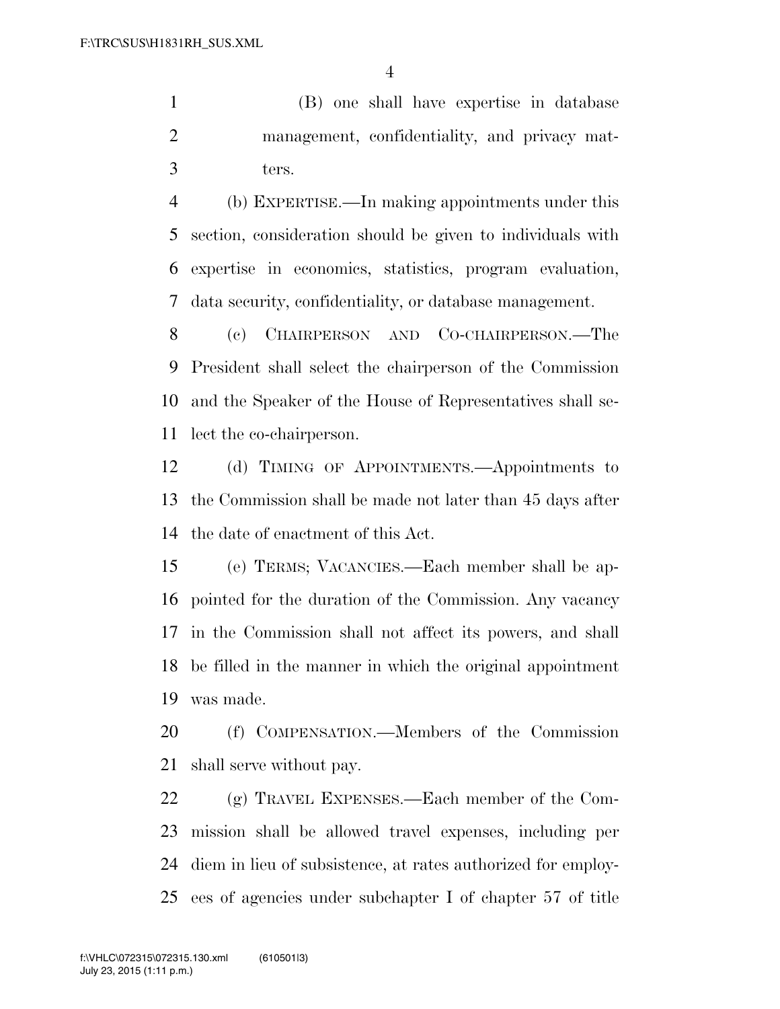(B) one shall have expertise in database management, confidentiality, and privacy mat-ters.

 (b) EXPERTISE.—In making appointments under this section, consideration should be given to individuals with expertise in economics, statistics, program evaluation, data security, confidentiality, or database management.

 (c) CHAIRPERSON AND CO-CHAIRPERSON.—The President shall select the chairperson of the Commission and the Speaker of the House of Representatives shall se-lect the co-chairperson.

 (d) TIMING OF APPOINTMENTS.—Appointments to the Commission shall be made not later than 45 days after the date of enactment of this Act.

 (e) TERMS; VACANCIES.—Each member shall be ap- pointed for the duration of the Commission. Any vacancy in the Commission shall not affect its powers, and shall be filled in the manner in which the original appointment was made.

 (f) COMPENSATION.—Members of the Commission shall serve without pay.

 (g) TRAVEL EXPENSES.—Each member of the Com- mission shall be allowed travel expenses, including per diem in lieu of subsistence, at rates authorized for employ-ees of agencies under subchapter I of chapter 57 of title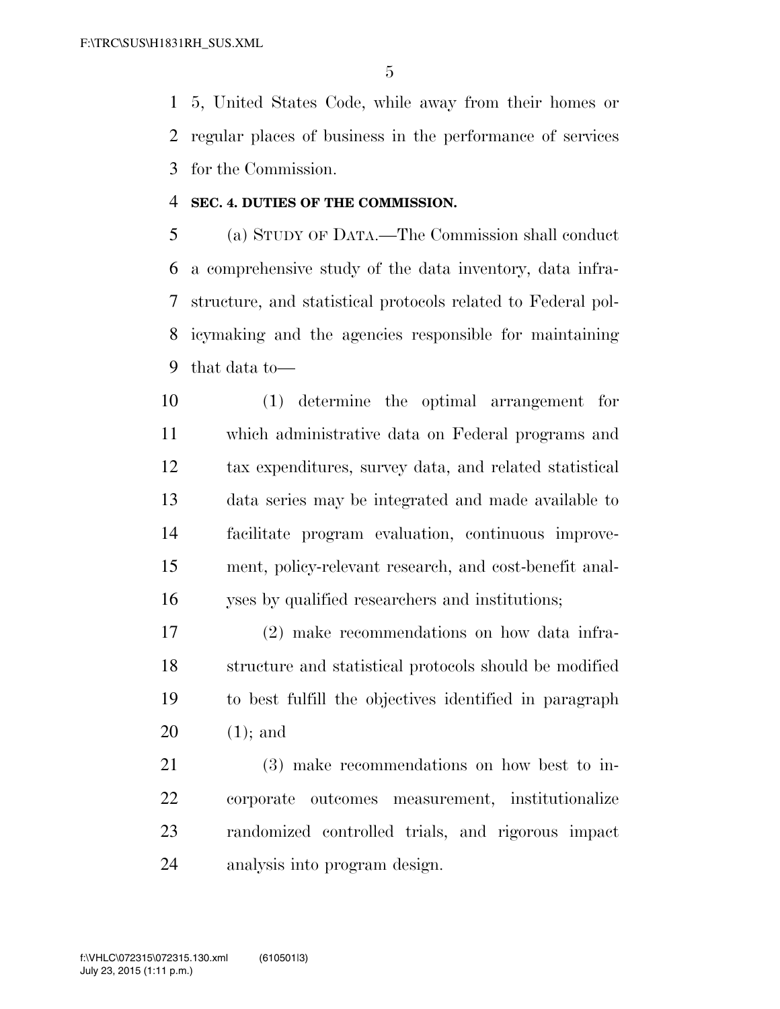5, United States Code, while away from their homes or regular places of business in the performance of services for the Commission.

#### **SEC. 4. DUTIES OF THE COMMISSION.**

 (a) STUDY OF DATA.—The Commission shall conduct a comprehensive study of the data inventory, data infra- structure, and statistical protocols related to Federal pol- icymaking and the agencies responsible for maintaining that data to—

 (1) determine the optimal arrangement for which administrative data on Federal programs and tax expenditures, survey data, and related statistical data series may be integrated and made available to facilitate program evaluation, continuous improve- ment, policy-relevant research, and cost-benefit anal-yses by qualified researchers and institutions;

 (2) make recommendations on how data infra- structure and statistical protocols should be modified to best fulfill the objectives identified in paragraph (1); and

 (3) make recommendations on how best to in- corporate outcomes measurement, institutionalize randomized controlled trials, and rigorous impact analysis into program design.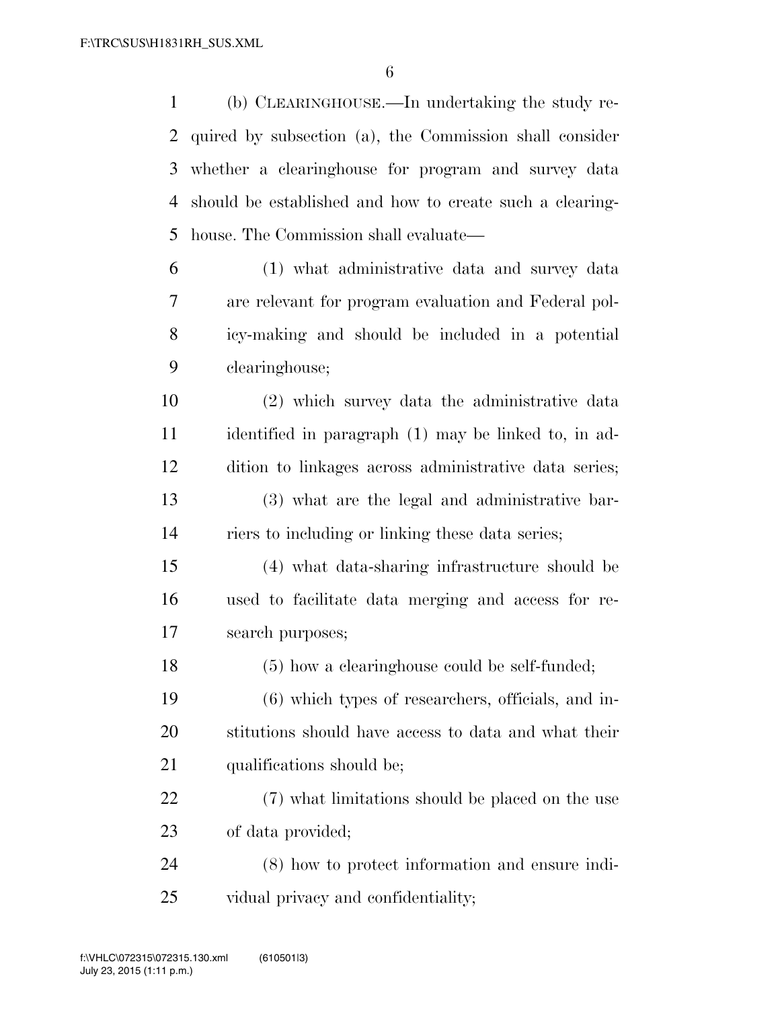(b) CLEARINGHOUSE.—In undertaking the study re- quired by subsection (a), the Commission shall consider whether a clearinghouse for program and survey data should be established and how to create such a clearing-house. The Commission shall evaluate—

 (1) what administrative data and survey data are relevant for program evaluation and Federal pol- icy-making and should be included in a potential clearinghouse;

 (2) which survey data the administrative data identified in paragraph (1) may be linked to, in ad- dition to linkages across administrative data series; (3) what are the legal and administrative bar-riers to including or linking these data series;

 (4) what data-sharing infrastructure should be used to facilitate data merging and access for re-search purposes;

(5) how a clearinghouse could be self-funded;

 (6) which types of researchers, officials, and in- stitutions should have access to data and what their 21 qualifications should be;

 (7) what limitations should be placed on the use of data provided;

 (8) how to protect information and ensure indi-vidual privacy and confidentiality;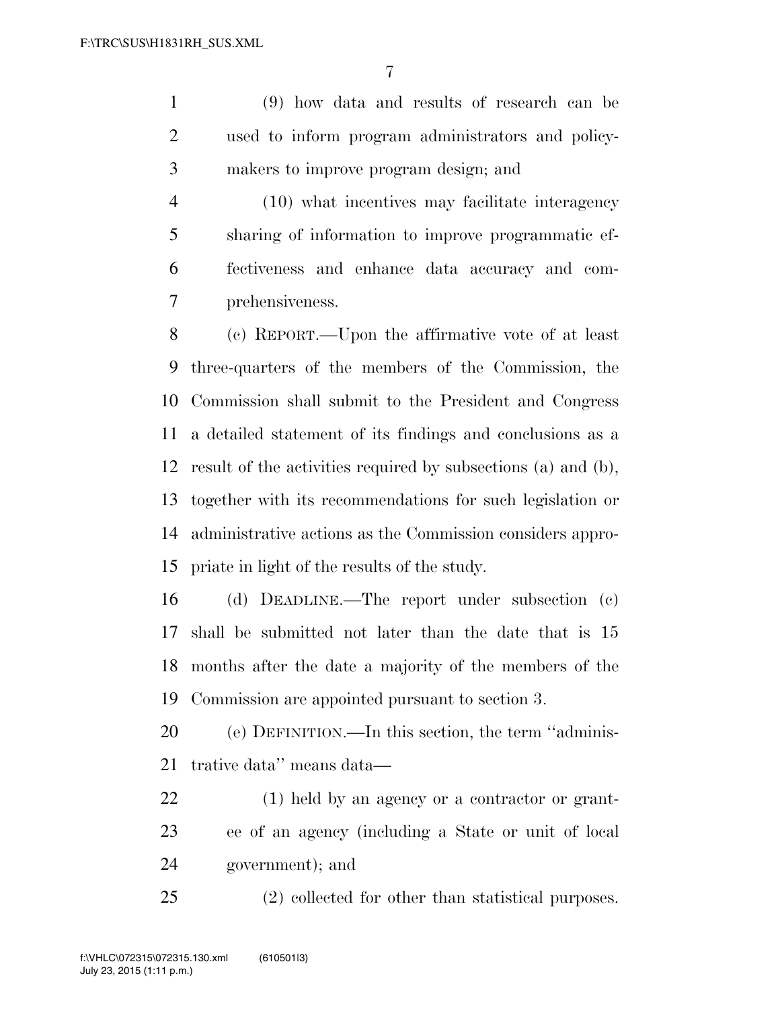(9) how data and results of research can be used to inform program administrators and policy-makers to improve program design; and

 (10) what incentives may facilitate interagency sharing of information to improve programmatic ef- fectiveness and enhance data accuracy and com-prehensiveness.

 (c) REPORT.—Upon the affirmative vote of at least three-quarters of the members of the Commission, the Commission shall submit to the President and Congress a detailed statement of its findings and conclusions as a result of the activities required by subsections (a) and (b), together with its recommendations for such legislation or administrative actions as the Commission considers appro-priate in light of the results of the study.

 (d) DEADLINE.—The report under subsection (c) shall be submitted not later than the date that is 15 months after the date a majority of the members of the Commission are appointed pursuant to section 3.

 (e) DEFINITION.—In this section, the term ''adminis-trative data'' means data—

 (1) held by an agency or a contractor or grant- ee of an agency (including a State or unit of local government); and

(2) collected for other than statistical purposes.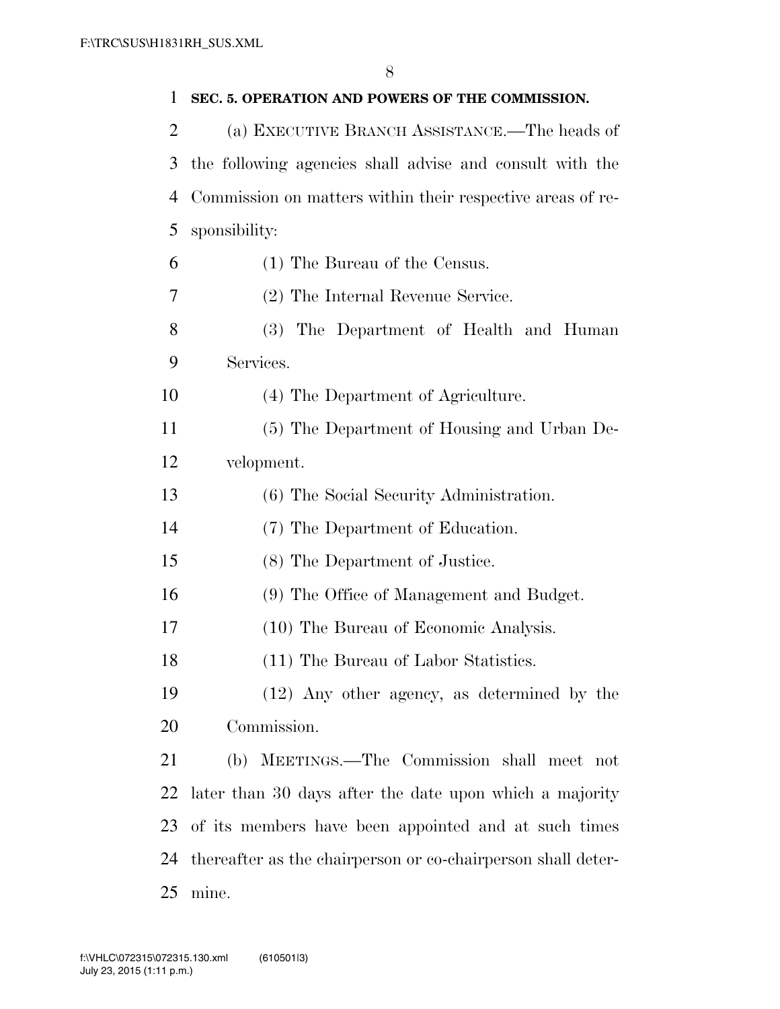| 1              | SEC. 5. OPERATION AND POWERS OF THE COMMISSION.              |
|----------------|--------------------------------------------------------------|
| $\overline{2}$ | (a) EXECUTIVE BRANCH ASSISTANCE.—The heads of                |
| 3              | the following agencies shall advise and consult with the     |
| 4              | Commission on matters within their respective areas of re-   |
| 5              | sponsibility:                                                |
| 6              | (1) The Bureau of the Census.                                |
| 7              | (2) The Internal Revenue Service.                            |
| 8              | (3) The Department of Health and Human                       |
| 9              | Services.                                                    |
| 10             | (4) The Department of Agriculture.                           |
| 11             | (5) The Department of Housing and Urban De-                  |
| 12             | velopment.                                                   |
| 13             | (6) The Social Security Administration.                      |
| 14             | (7) The Department of Education.                             |
| 15             | (8) The Department of Justice.                               |
| 16             | (9) The Office of Management and Budget.                     |
| 17             | (10) The Bureau of Economic Analysis.                        |
| 18             | (11) The Bureau of Labor Statistics.                         |
| 19             | (12) Any other agency, as determined by the                  |
| 20             | Commission.                                                  |
| 21             | (b) MEETINGS.—The Commission shall meet not                  |
| 22             | later than 30 days after the date upon which a majority      |
| 23             | of its members have been appointed and at such times         |
| 24             | thereafter as the chairperson or co-chairperson shall deter- |
| 25             | mine.                                                        |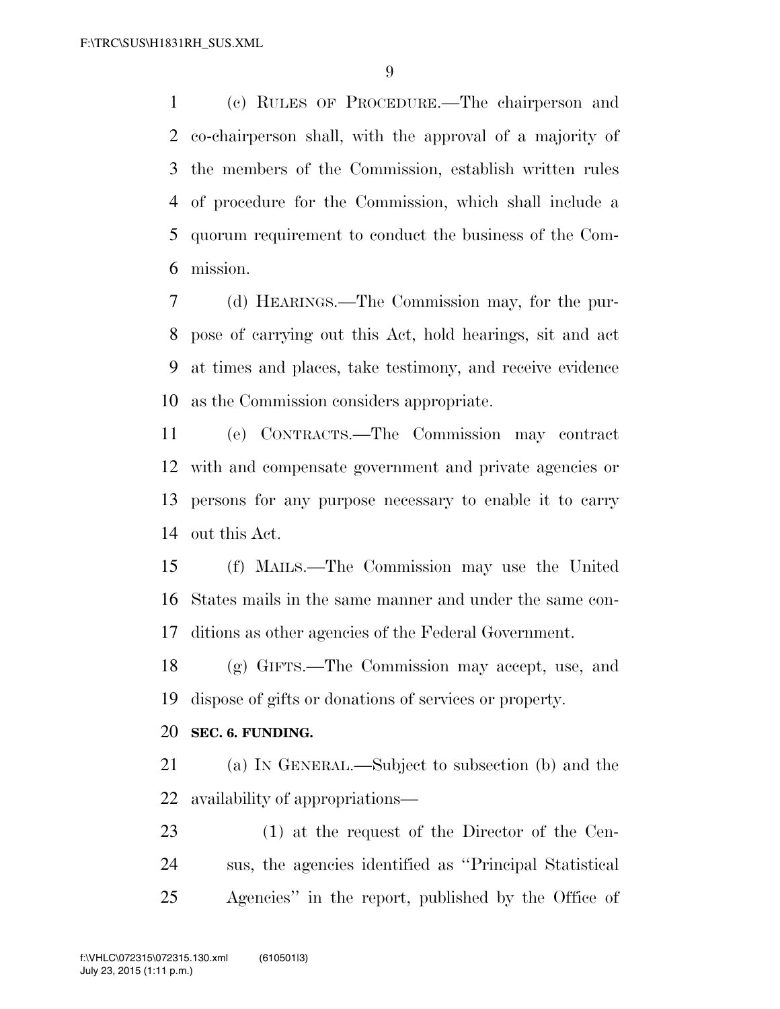(c) RULES OF PROCEDURE.—The chairperson and co-chairperson shall, with the approval of a majority of the members of the Commission, establish written rules of procedure for the Commission, which shall include a quorum requirement to conduct the business of the Com-mission.

 (d) HEARINGS.—The Commission may, for the pur- pose of carrying out this Act, hold hearings, sit and act at times and places, take testimony, and receive evidence as the Commission considers appropriate.

 (e) CONTRACTS.—The Commission may contract with and compensate government and private agencies or persons for any purpose necessary to enable it to carry out this Act.

 (f) MAILS.—The Commission may use the United States mails in the same manner and under the same con-ditions as other agencies of the Federal Government.

 (g) GIFTS.—The Commission may accept, use, and dispose of gifts or donations of services or property.

### **SEC. 6. FUNDING.**

 (a) IN GENERAL.—Subject to subsection (b) and the availability of appropriations—

 (1) at the request of the Director of the Cen- sus, the agencies identified as ''Principal Statistical Agencies'' in the report, published by the Office of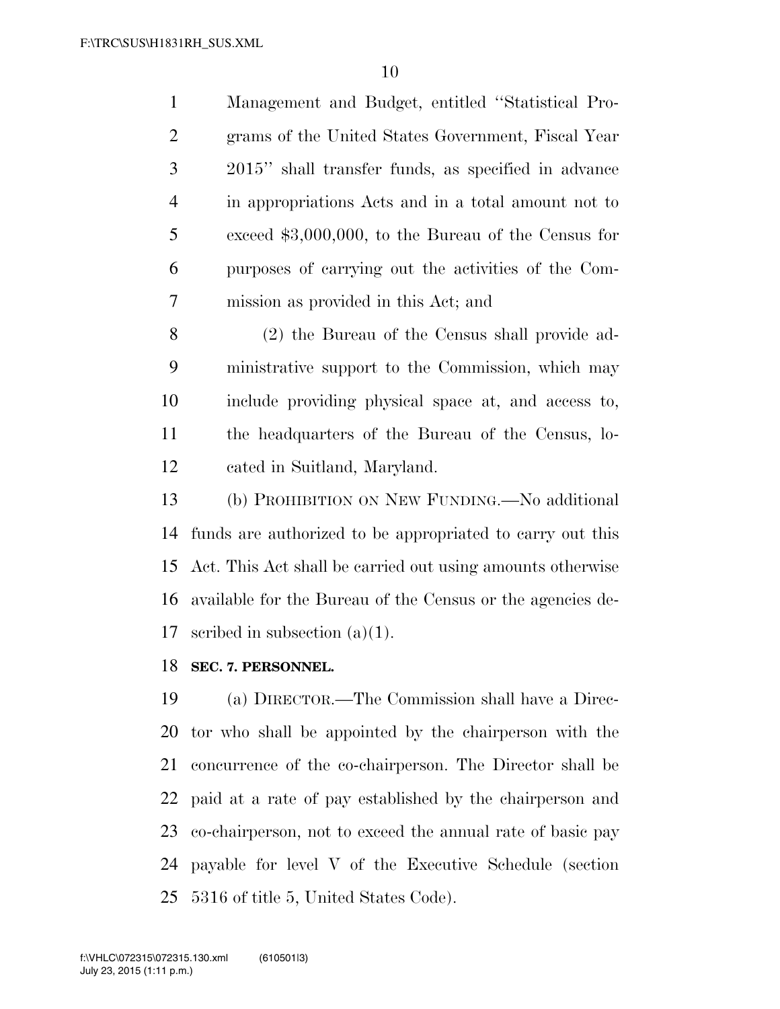Management and Budget, entitled ''Statistical Pro- grams of the United States Government, Fiscal Year 2015'' shall transfer funds, as specified in advance in appropriations Acts and in a total amount not to exceed \$3,000,000, to the Bureau of the Census for purposes of carrying out the activities of the Com-mission as provided in this Act; and

 (2) the Bureau of the Census shall provide ad- ministrative support to the Commission, which may include providing physical space at, and access to, the headquarters of the Bureau of the Census, lo-cated in Suitland, Maryland.

 (b) PROHIBITION ON NEW FUNDING.—No additional funds are authorized to be appropriated to carry out this Act. This Act shall be carried out using amounts otherwise available for the Bureau of the Census or the agencies de-scribed in subsection (a)(1).

**SEC. 7. PERSONNEL.** 

 (a) DIRECTOR.—The Commission shall have a Direc- tor who shall be appointed by the chairperson with the concurrence of the co-chairperson. The Director shall be paid at a rate of pay established by the chairperson and co-chairperson, not to exceed the annual rate of basic pay payable for level V of the Executive Schedule (section 5316 of title 5, United States Code).